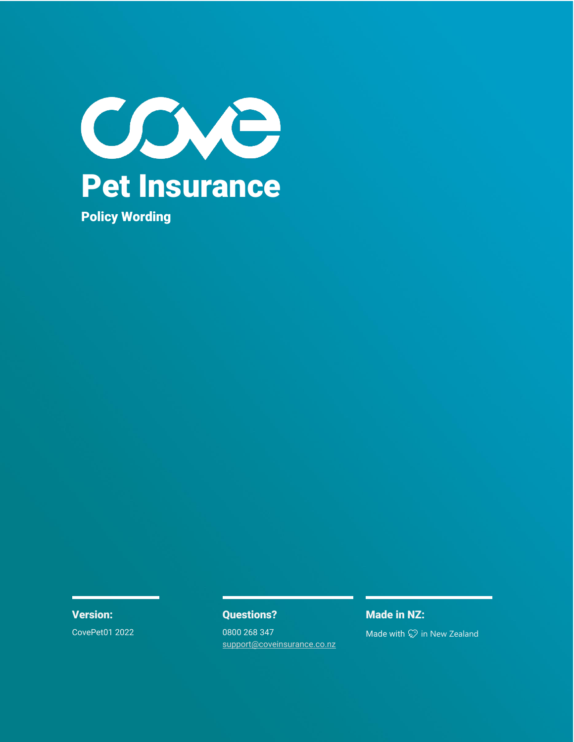

CovePet01 2022 0800 268 347

[support@coveinsurance.co.nz](mailto:support@coveinsurance.co.nz)

# **Version: CONFIDENTIAL CONFIDENT: Questions? Made in NZ: Made in NZ:**

Made with  $\heartsuit$  in New Zealand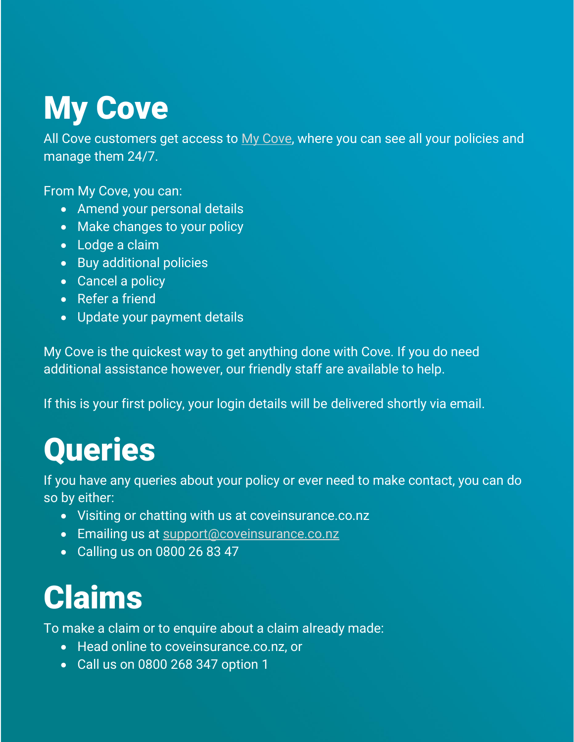# My Cove

All Cove customers get access to [My Cove,](https://app.coveinsurance.co.nz/user/login/) where you can see all your policies and manage them 24/7.

From My Cove, you can:

- Amend your personal details
- Make changes to your policy
- Lodge a claim
- Buy additional policies
- Cancel a policy
- Refer a friend
- Update your payment details

My Cove is the quickest way to get anything done with Cove. If you do need additional assistance however, our friendly staff are available to help.

If this is your first policy, your login details will be delivered shortly via email.

# **Queries**

If you have any queries about your policy or ever need to make contact, you can do so by either:

- Visiting or chatting with us at coveinsurance.co.nz
- Emailing us at [support@coveinsurance.co.nz](mailto:support@coveinsurance.co.nz)
- Calling us on 0800 26 83 47

# Claims

To make a claim or to enquire about a claim already made:

- Head online to coveinsurance.co.nz, or
- Call us on 0800 268 347 option 1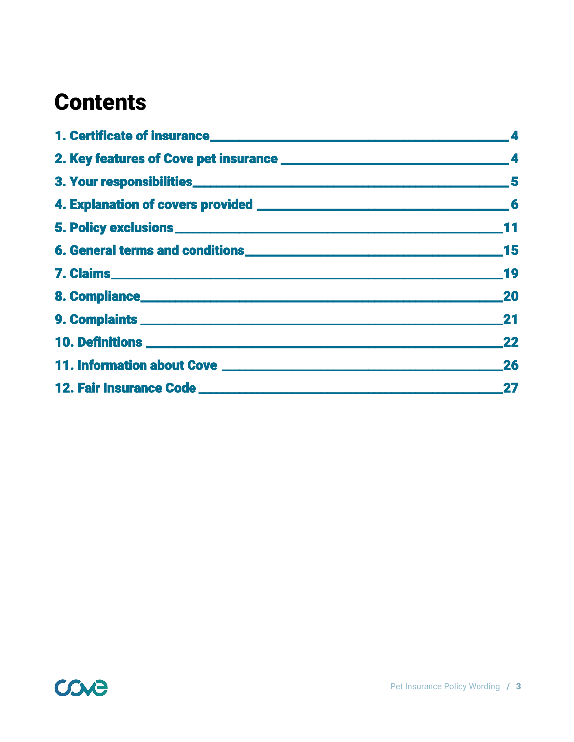# **Contents**

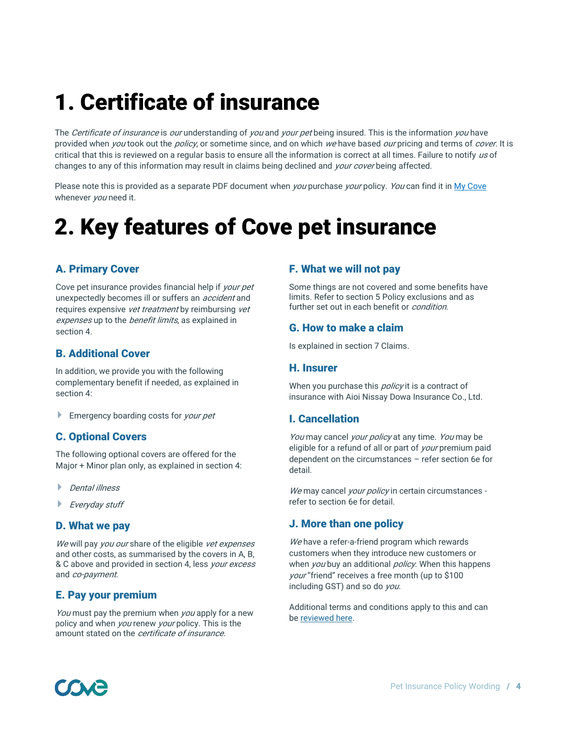# 1. Certificate of insurance

The Certificate of insurance is our understanding of you and your pet being insured. This is the information you have provided when you took out the policy, or sometime since, and on which we have based our pricing and terms of cover. It is critical that this is reviewed on a regular basis to ensure all the information is correct at all times. Failure to notify us of changes to any of this information may result in claims being declined and your cover being affected.

Please note this is provided as a separate PDF document when you purchase your policy. You can find it i[n My Cove](https://app.coveinsurance.co.nz/user/login/) whenever *you* need it.

# 2. Key features of Cove pet insurance

## A. Primary Cover

Cove pet insurance provides financial help if *your pet* unexpectedly becomes ill or suffers an *accident* and requires expensive *vet treatment* by reimbursing *vet* expenses up to the benefit limits, as explained in section 4.

## B. Additional Cover

In addition, we provide you with the following complementary benefit if needed, as explained in section 4:

**Emergency boarding costs for your pet** 

## C. Optional Covers

The following optional covers are offered for the Major + Minor plan only, as explained in section 4:

- ▶ Dental illness
- Everyday stuff

#### D. What we pay

We will pay you our share of the eligible vet expenses and other costs, as summarised by the covers in A, B, & C above and provided in section 4, less your excess and co-payment.

### E. Pay your premium

You must pay the premium when you apply for a new policy and when *you* renew *your* policy. This is the amount stated on the *certificate of insurance*.

### F. What we will not pay

Some things are not covered and some benefits have limits. Refer to section 5 Policy exclusions and as further set out in each benefit or *condition*.

### G. How to make a claim

Is explained in section 7 Claims.

#### H. Insurer

When you purchase this *policy* it is a contract of insurance with Aioi Nissay Dowa Insurance Co., Ltd.

### I. Cancellation

You may cancel your policy at any time. You may be eligible for a refund of all or part of *your* premium paid dependent on the circumstances – refer section 6e for detail.

We may cancel your policy in certain circumstances refer to section 6e for detail.

### J. More than one policy

We have a refer-a-friend program which rewards customers when they introduce new customers or when *you* buy an additional *policy*. When this happens your "friend" receives a free month (up to \$100 including GST) and so do you.

Additional terms and conditions apply to this and can b[e reviewed here.](https://www.coveinsurance.co.nz/partner-terms/)

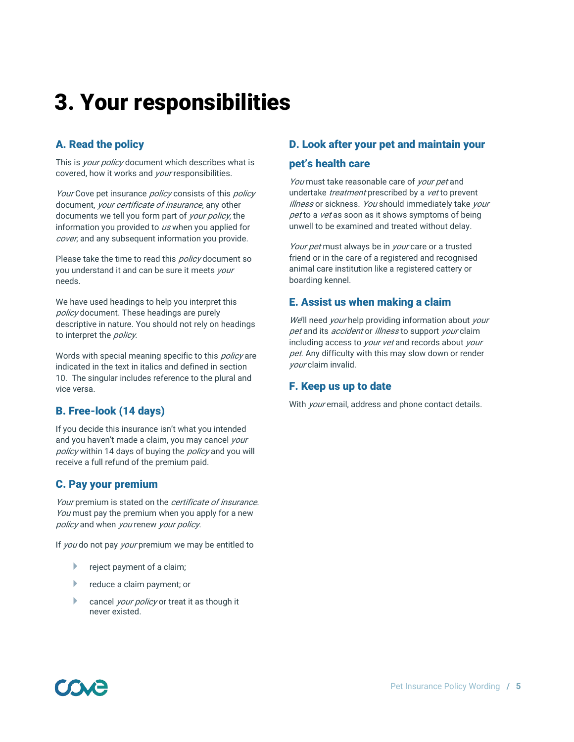# 3. Your responsibilities

# A. Read the policy

This is *your policy* document which describes what is covered, how it works and *your* responsibilities.

Your Cove pet insurance *policy* consists of this *policy* document, your certificate of insurance, any other documents we tell you form part of your policy, the information you provided to  $\mu s$  when you applied for cover, and any subsequent information you provide.

Please take the time to read this *policy* document so you understand it and can be sure it meets your needs.

We have used headings to help you interpret this policy document. These headings are purely descriptive in nature. You should not rely on headings to interpret the *policy*.

Words with special meaning specific to this *policy* are indicated in the text in italics and defined in section 10. The singular includes reference to the plural and vice versa.

# B. Free-look (14 days)

If you decide this insurance isn't what you intended and you haven't made a claim, you may cancel your policy within 14 days of buying the policy and you will receive a full refund of the premium paid.

# C. Pay your premium

Your premium is stated on the *certificate of insurance*. You must pay the premium when you apply for a new policy and when you renew your policy.

If you do not pay your premium we may be entitled to

- reject payment of a claim;
- **P** reduce a claim payment; or
- cancel your policy or treat it as though it never existed.

# D. Look after your pet and maintain your

### pet's health care

You must take reasonable care of your pet and undertake *treatment* prescribed by a *vet* to prevent illness or sickness. You should immediately take your pet to a vet as soon as it shows symptoms of being unwell to be examined and treated without delay.

Your pet must always be in your care or a trusted friend or in the care of a registered and recognised animal care institution like a registered cattery or boarding kennel.

# E. Assist us when making a claim

We'll need your help providing information about your pet and its *accident* or *illness* to support *your* claim including access to *your vet* and records about your pet. Any difficulty with this may slow down or render your claim invalid.

# F. Keep us up to date

With *your* email, address and phone contact details.

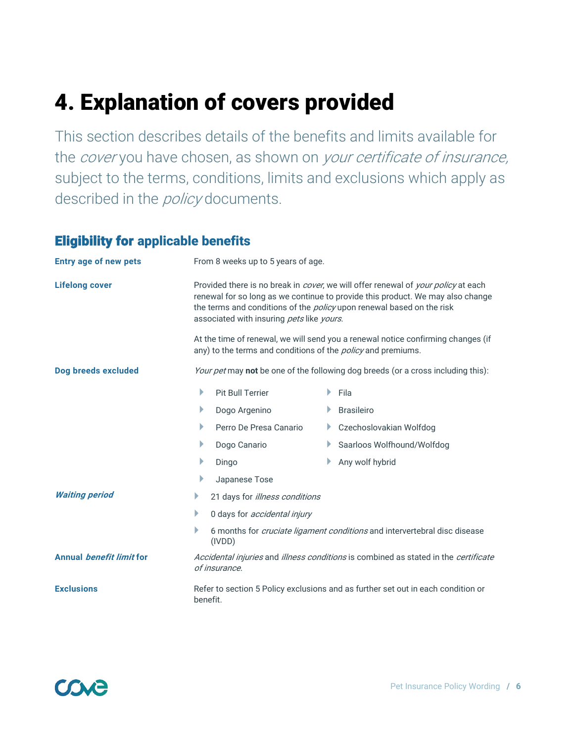# 4. Explanation of covers provided

This section describes details of the benefits and limits available for the *cover* you have chosen, as shown on *your certificate of insurance*, subject to the terms, conditions, limits and exclusions which apply as described in the *policy* documents.

# Eligibility for applicable benefits

| <b>Entry age of new pets</b>           | From 8 weeks up to 5 years of age.                                                                                                                                                                                                                                                               |    |                                                                                                                                                         |
|----------------------------------------|--------------------------------------------------------------------------------------------------------------------------------------------------------------------------------------------------------------------------------------------------------------------------------------------------|----|---------------------------------------------------------------------------------------------------------------------------------------------------------|
| <b>Lifelong cover</b>                  | Provided there is no break in cover, we will offer renewal of your policy at each<br>renewal for so long as we continue to provide this product. We may also change<br>the terms and conditions of the <i>policy</i> upon renewal based on the risk<br>associated with insuring pets like yours. |    |                                                                                                                                                         |
|                                        |                                                                                                                                                                                                                                                                                                  |    | At the time of renewal, we will send you a renewal notice confirming changes (if<br>any) to the terms and conditions of the <i>policy</i> and premiums. |
| Dog breeds excluded                    |                                                                                                                                                                                                                                                                                                  |    | Your pet may not be one of the following dog breeds (or a cross including this):                                                                        |
|                                        | Þ<br><b>Pit Bull Terrier</b>                                                                                                                                                                                                                                                                     | Þ. | Fila                                                                                                                                                    |
|                                        | Þ<br>Dogo Argenino                                                                                                                                                                                                                                                                               |    | <b>Brasileiro</b>                                                                                                                                       |
|                                        | Þ<br>Perro De Presa Canario                                                                                                                                                                                                                                                                      |    | Czechoslovakian Wolfdog                                                                                                                                 |
|                                        | Þ<br>Dogo Canario                                                                                                                                                                                                                                                                                | Þ. | Saarloos Wolfhound/Wolfdog                                                                                                                              |
|                                        | Þ<br>Dingo                                                                                                                                                                                                                                                                                       |    | Any wolf hybrid                                                                                                                                         |
|                                        | Þ<br>Japanese Tose                                                                                                                                                                                                                                                                               |    |                                                                                                                                                         |
| <b>Waiting period</b>                  | 21 days for illness conditions<br>Þ                                                                                                                                                                                                                                                              |    |                                                                                                                                                         |
|                                        | Þ<br>0 days for <i>accidental injury</i>                                                                                                                                                                                                                                                         |    |                                                                                                                                                         |
|                                        | Þ<br>(IVDD)                                                                                                                                                                                                                                                                                      |    | 6 months for cruciate ligament conditions and intervertebral disc disease                                                                               |
| <b>Annual <i>benefit limit</i></b> for | of insurance.                                                                                                                                                                                                                                                                                    |    | Accidental injuries and illness conditions is combined as stated in the certificate                                                                     |
| <b>Exclusions</b>                      | benefit.                                                                                                                                                                                                                                                                                         |    | Refer to section 5 Policy exclusions and as further set out in each condition or                                                                        |

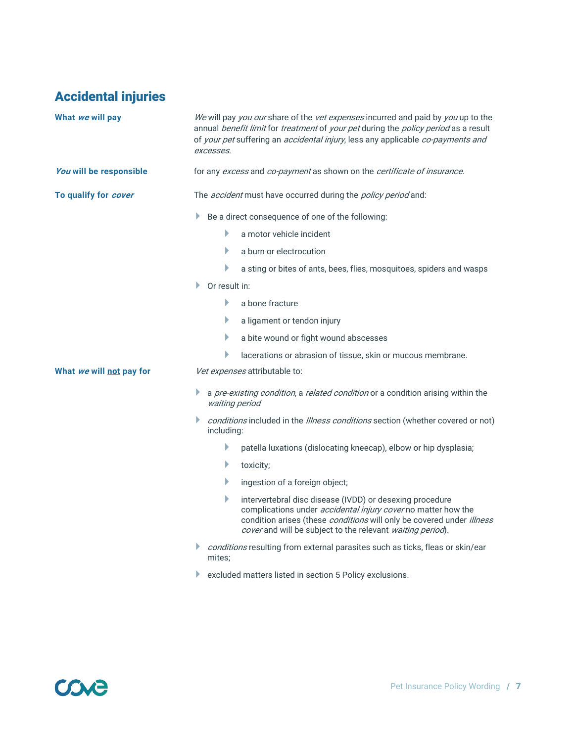# Accidental injuries

| What we will pay         |    | excesses.     | We will pay you our share of the vet expenses incurred and paid by you up to the<br>annual benefit limit for treatment of your pet during the policy period as a result<br>of your pet suffering an accidental injury, less any applicable co-payments and              |
|--------------------------|----|---------------|-------------------------------------------------------------------------------------------------------------------------------------------------------------------------------------------------------------------------------------------------------------------------|
| You will be responsible  |    |               | for any excess and co-payment as shown on the certificate of insurance.                                                                                                                                                                                                 |
| To qualify for cover     |    |               | The <i>accident</i> must have occurred during the <i>policy period</i> and:                                                                                                                                                                                             |
|                          |    |               | Be a direct consequence of one of the following:                                                                                                                                                                                                                        |
|                          |    | Þ             | a motor vehicle incident                                                                                                                                                                                                                                                |
|                          |    | Þ             | a burn or electrocution                                                                                                                                                                                                                                                 |
|                          |    | Þ             | a sting or bites of ants, bees, flies, mosquitoes, spiders and wasps                                                                                                                                                                                                    |
|                          | Þ. | Or result in: |                                                                                                                                                                                                                                                                         |
|                          |    | Þ             | a bone fracture                                                                                                                                                                                                                                                         |
|                          |    | Þ             | a ligament or tendon injury                                                                                                                                                                                                                                             |
|                          |    | Þ             | a bite wound or fight wound abscesses                                                                                                                                                                                                                                   |
|                          |    | Þ             | lacerations or abrasion of tissue, skin or mucous membrane.                                                                                                                                                                                                             |
| What we will not pay for |    |               | Vet expenses attributable to:                                                                                                                                                                                                                                           |
|                          |    |               | a pre-existing condition, a related condition or a condition arising within the<br>waiting period                                                                                                                                                                       |
|                          |    | including:    | conditions included in the Illness conditions section (whether covered or not)                                                                                                                                                                                          |
|                          |    | Þ             | patella luxations (dislocating kneecap), elbow or hip dysplasia;                                                                                                                                                                                                        |
|                          |    | Þ             | toxicity;                                                                                                                                                                                                                                                               |
|                          |    | Þ             | ingestion of a foreign object;                                                                                                                                                                                                                                          |
|                          |    | Þ             | intervertebral disc disease (IVDD) or desexing procedure<br>complications under <i>accidental injury cover</i> no matter how the<br>condition arises (these conditions will only be covered under illness<br>cover and will be subject to the relevant waiting period). |
|                          | Þ. | mites:        | conditions resulting from external parasites such as ticks, fleas or skin/ear                                                                                                                                                                                           |
|                          |    |               | excluded matters listed in section 5 Policy exclusions.                                                                                                                                                                                                                 |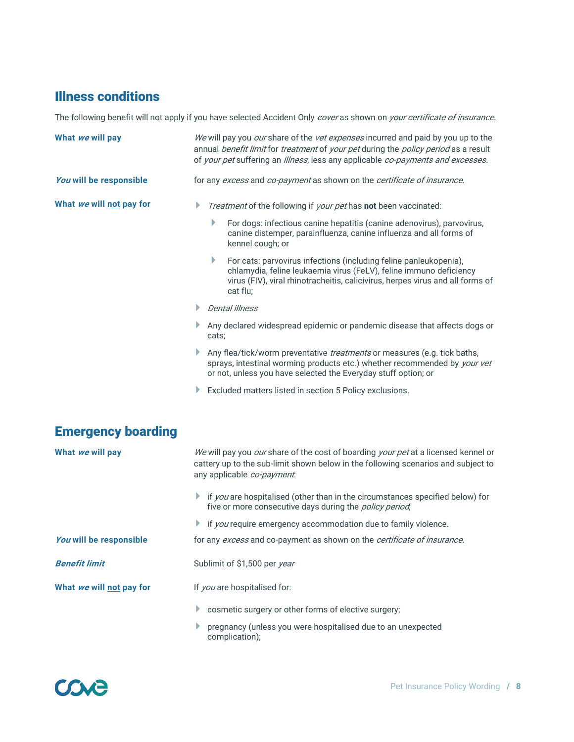# Illness conditions

The following benefit will not apply if you have selected Accident Only cover as shown on your certificate of insurance.

| What we will pay          | We will pay you our share of the vet expenses incurred and paid by you up to the<br>annual benefit limit for treatment of your pet during the policy period as a result<br>of your pet suffering an illness, less any applicable co-payments and excesses. |  |  |
|---------------------------|------------------------------------------------------------------------------------------------------------------------------------------------------------------------------------------------------------------------------------------------------------|--|--|
| You will be responsible   | for any excess and co-payment as shown on the certificate of insurance.                                                                                                                                                                                    |  |  |
| What we will not pay for  | Treatment of the following if your pet has not been vaccinated:<br>Þ                                                                                                                                                                                       |  |  |
|                           | For dogs: infectious canine hepatitis (canine adenovirus), parvovirus,<br>canine distemper, parainfluenza, canine influenza and all forms of<br>kennel cough; or                                                                                           |  |  |
|                           | Þ.<br>For cats: parvovirus infections (including feline panleukopenia),<br>chlamydia, feline leukaemia virus (FeLV), feline immuno deficiency<br>virus (FIV), viral rhinotracheitis, calicivirus, herpes virus and all forms of<br>cat flu;                |  |  |
|                           | <b>Dental illness</b><br>Þ.                                                                                                                                                                                                                                |  |  |
|                           | Any declared widespread epidemic or pandemic disease that affects dogs or<br>Þ<br>cats;                                                                                                                                                                    |  |  |
|                           | Any flea/tick/worm preventative <i>treatments</i> or measures (e.g. tick baths,<br>Þ<br>sprays, intestinal worming products etc.) whether recommended by your vet<br>or not, unless you have selected the Everyday stuff option; or                        |  |  |
|                           | Excluded matters listed in section 5 Policy exclusions.<br>Þ                                                                                                                                                                                               |  |  |
| <b>Emergency boarding</b> |                                                                                                                                                                                                                                                            |  |  |
| What we will pay          | We will pay you our share of the cost of boarding your pet at a licensed kennel or<br>cattery up to the sub-limit shown below in the following scenarios and subject to<br>any applicable co-payment.                                                      |  |  |
|                           | if you are hospitalised (other than in the circumstances specified below) for<br>Þ<br>five or more consecutive days during the <i>policy period</i> ,                                                                                                      |  |  |
|                           | if you require emergency accommodation due to family violence.<br>Þ                                                                                                                                                                                        |  |  |
| You will be responsible   | for any excess and co-payment as shown on the certificate of insurance.                                                                                                                                                                                    |  |  |
| <b>Benefit limit</b>      | Sublimit of \$1,500 per year                                                                                                                                                                                                                               |  |  |
| What we will not pay for  | If you are hospitalised for:                                                                                                                                                                                                                               |  |  |
|                           | cosmetic surgery or other forms of elective surgery;<br>Þ                                                                                                                                                                                                  |  |  |
|                           | pregnancy (unless you were hospitalised due to an unexpected<br>Þ<br>complication);                                                                                                                                                                        |  |  |

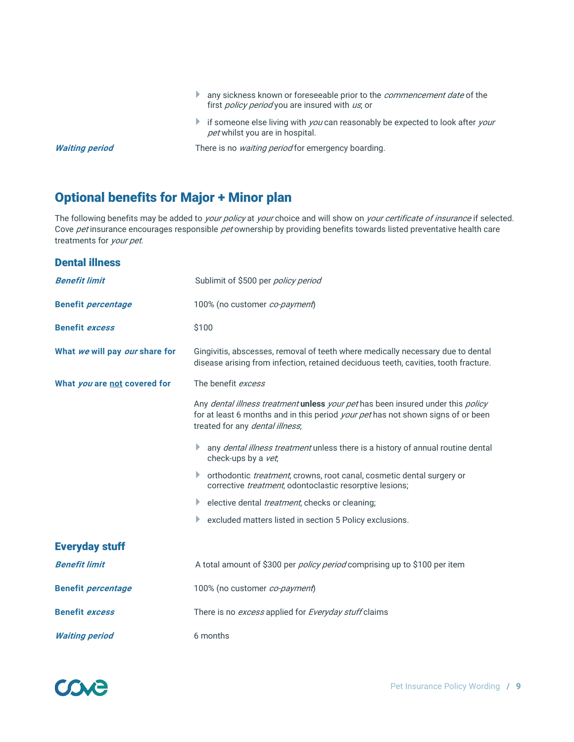- any sickness known or foreseeable prior to the *commencement date* of the first *policy period* you are insured with us, or
- if someone else living with  $you$  can reasonably be expected to look after  $your$ pet whilst you are in hospital.

**Waiting period** There is no *waiting period* for emergency boarding.

# Optional benefits for Major + Minor plan

The following benefits may be added to your policy at your choice and will show on your certificate of insurance if selected. Cove pet insurance encourages responsible pet ownership by providing benefits towards listed preventative health care treatments for your pet.

| <b>Dental illness</b>          |                                                                                                                                                                                                               |
|--------------------------------|---------------------------------------------------------------------------------------------------------------------------------------------------------------------------------------------------------------|
| <b>Benefit limit</b>           | Sublimit of \$500 per <i>policy period</i>                                                                                                                                                                    |
| <b>Benefit percentage</b>      | 100% (no customer co-payment)                                                                                                                                                                                 |
| <b>Benefit excess</b>          | \$100                                                                                                                                                                                                         |
| What we will pay our share for | Gingivitis, abscesses, removal of teeth where medically necessary due to dental<br>disease arising from infection, retained deciduous teeth, cavities, tooth fracture.                                        |
| What you are not covered for   | The benefit excess                                                                                                                                                                                            |
|                                | Any dental illness treatment unless your pet has been insured under this policy<br>for at least 6 months and in this period <i>your pet</i> has not shown signs of or been<br>treated for any dental illness, |
|                                | Þ<br>any <i>dental illness treatment</i> unless there is a history of annual routine dental<br>check-ups by a vet,                                                                                            |
|                                | orthodontic <i>treatment</i> , crowns, root canal, cosmetic dental surgery or<br>Þ<br>corrective treatment, odontoclastic resorptive lesions;                                                                 |
|                                | elective dental <i>treatment</i> , checks or cleaning;<br>Þ                                                                                                                                                   |
|                                | Þ<br>excluded matters listed in section 5 Policy exclusions.                                                                                                                                                  |
| <b>Everyday stuff</b>          |                                                                                                                                                                                                               |
| <b>Benefit limit</b>           | A total amount of \$300 per <i>policy period</i> comprising up to \$100 per item                                                                                                                              |
| <b>Benefit percentage</b>      | 100% (no customer co-payment)                                                                                                                                                                                 |
| <b>Benefit excess</b>          | There is no <i>excess</i> applied for <i>Everyday stuff</i> claims                                                                                                                                            |
| <b>Waiting period</b>          | 6 months                                                                                                                                                                                                      |

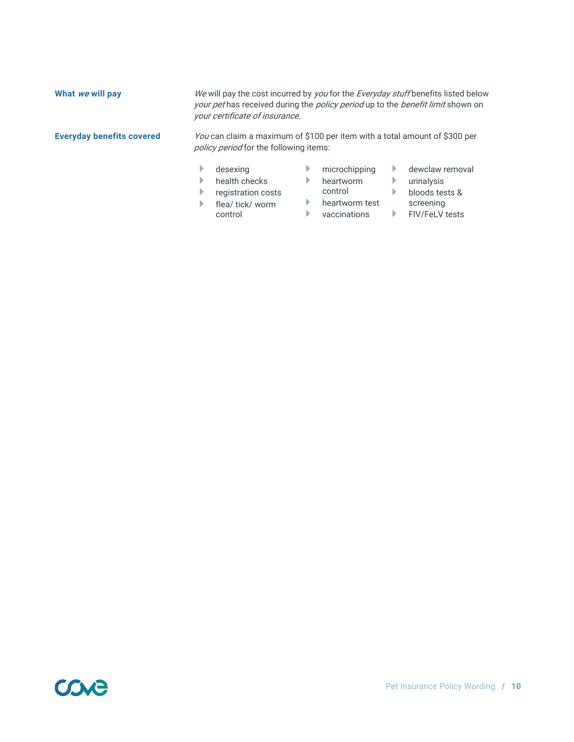| What we will pay                 | We will pay the cost incurred by you for the Everyday stuff benefits listed below<br>your pet has received during the policy period up to the benefit limit shown on<br>your certificate of insurance. |  |                                       |  |                                                 |  |
|----------------------------------|--------------------------------------------------------------------------------------------------------------------------------------------------------------------------------------------------------|--|---------------------------------------|--|-------------------------------------------------|--|
| <b>Everyday benefits covered</b> | You can claim a maximum of \$100 per item with a total amount of \$300 per<br><i>policy period</i> for the following items:                                                                            |  |                                       |  |                                                 |  |
|                                  | desexing<br>health checks<br>registration costs                                                                                                                                                        |  | microchipping<br>heartworm<br>control |  | dewclaw removal<br>urinalysis<br>bloods tests & |  |
|                                  | flea/ tick/ worm<br>control                                                                                                                                                                            |  | heartworm test<br>vaccinations        |  | screening<br><b>FIV/FeLV tests</b>              |  |

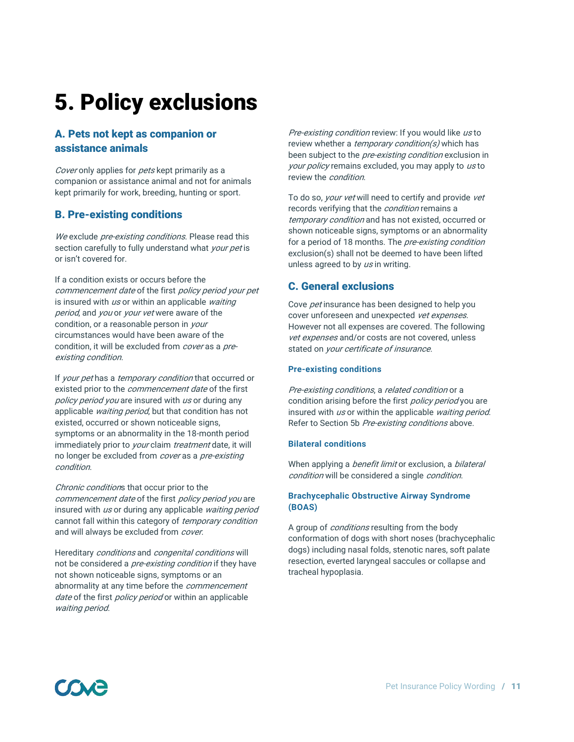# 5. Policy exclusions

# A. Pets not kept as companion or assistance animals

Cover only applies for pets kept primarily as a companion or assistance animal and not for animals kept primarily for work, breeding, hunting or sport.

### B. Pre-existing conditions

We exclude *pre-existing conditions*. Please read this section carefully to fully understand what your pet is or isn't covered for.

If a condition exists or occurs before the commencement date of the first policy period your pet is insured with  $\mu s$  or within an applicable waiting period, and you or your vet were aware of the condition, or a reasonable person in *your* circumstances would have been aware of the condition, it will be excluded from cover as a preexisting condition.

If your pet has a temporary condition that occurred or existed prior to the *commencement date* of the first policy period you are insured with us or during any applicable waiting period, but that condition has not existed, occurred or shown noticeable signs, symptoms or an abnormality in the 18-month period immediately prior to *your* claim *treatment* date, it will no longer be excluded from cover as a pre-existing condition.

Chronic conditions that occur prior to the commencement date of the first policy period you are insured with us or during any applicable waiting period cannot fall within this category of temporary condition and will always be excluded from cover.

Hereditary conditions and congenital conditions will not be considered a *pre-existing condition* if they have not shown noticeable signs, symptoms or an abnormality at any time before the *commencement* date of the first policy period or within an applicable waiting period.

Pre-existing condition review: If you would like us to review whether a *temporary condition(s)* which has been subject to the *pre-existing condition* exclusion in your policy remains excluded, you may apply to us to review the *condition*.

To do so, *your vet* will need to certify and provide vet records verifying that the *condition* remains a temporary condition and has not existed, occurred or shown noticeable signs, symptoms or an abnormality for a period of 18 months. The *pre-existing condition* exclusion(s) shall not be deemed to have been lifted unless agreed to by us in writing.

## C. General exclusions

Cove *pet* insurance has been designed to help you cover unforeseen and unexpected vet expenses. However not all expenses are covered. The following vet expenses and/or costs are not covered, unless stated on your certificate of insurance.

#### **Pre-existing conditions**

Pre-existing conditions, a related condition or a condition arising before the first *policy period* you are insured with us or within the applicable waiting period. Refer to Section 5b Pre-existing conditions above.

#### **Bilateral conditions**

When applying a *benefit limit* or exclusion, a *bilateral* condition will be considered a single condition.

#### **Brachycephalic Obstructive Airway Syndrome (BOAS)**

A group of *conditions* resulting from the body conformation of dogs with short noses (brachycephalic dogs) including nasal folds, stenotic nares, soft palate resection, everted laryngeal saccules or collapse and tracheal hypoplasia.

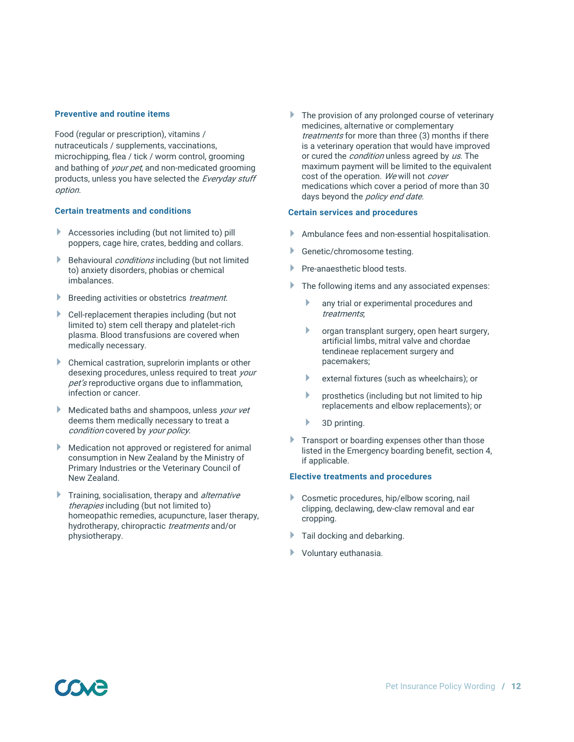#### **Preventive and routine items**

Food (regular or prescription), vitamins / nutraceuticals / supplements, vaccinations, microchipping, flea / tick / worm control, grooming and bathing of *your pet*, and non-medicated grooming products, unless you have selected the Everyday stuff option.

#### **Certain treatments and conditions**

- Accessories including (but not limited to) pill poppers, cage hire, crates, bedding and collars.
- **Behavioural conditions including (but not limited** to) anxiety disorders, phobias or chemical imbalances.
- Breeding activities or obstetrics *treatment*.
- Cell-replacement therapies including (but not limited to) stem cell therapy and platelet-rich plasma. Blood transfusions are covered when medically necessary.
- Chemical castration, suprelorin implants or other desexing procedures, unless required to treat your pet's reproductive organs due to inflammation, infection or cancer.
- **Medicated baths and shampoos, unless your vet** deems them medically necessary to treat a condition covered by your policy.
- **Medication not approved or registered for animal** consumption in New Zealand by the Ministry of Primary Industries or the Veterinary Council of New Zealand.
- Training, socialisation, therapy and *alternative* therapies including (but not limited to) homeopathic remedies, acupuncture, laser therapy, hydrotherapy, chiropractic treatments and/or physiotherapy.

The provision of any prolonged course of veterinary medicines, alternative or complementary treatments for more than three (3) months if there is a veterinary operation that would have improved or cured the *condition* unless agreed by us. The maximum payment will be limited to the equivalent cost of the operation. We will not cover medications which cover a period of more than 30 days beyond the policy end date.

#### **Certain services and procedures**

- Ambulance fees and non-essential hospitalisation.
- Genetic/chromosome testing.
- Pre-anaesthetic blood tests.
- The following items and any associated expenses:
	- **any trial or experimental procedures and** treatments;
	- organ transplant surgery, open heart surgery, artificial limbs, mitral valve and chordae tendineae replacement surgery and pacemakers;
	- external fixtures (such as wheelchairs); or
	- $\blacktriangleright$  prosthetics (including but not limited to hip replacements and elbow replacements); or
	- 3D printing.
- **Transport or boarding expenses other than those** listed in the Emergency boarding benefit, section 4, if applicable.

#### **Elective treatments and procedures**

- Cosmetic procedures, hip/elbow scoring, nail clipping, declawing, dew-claw removal and ear cropping.
- Tail docking and debarking.
- Voluntary euthanasia.

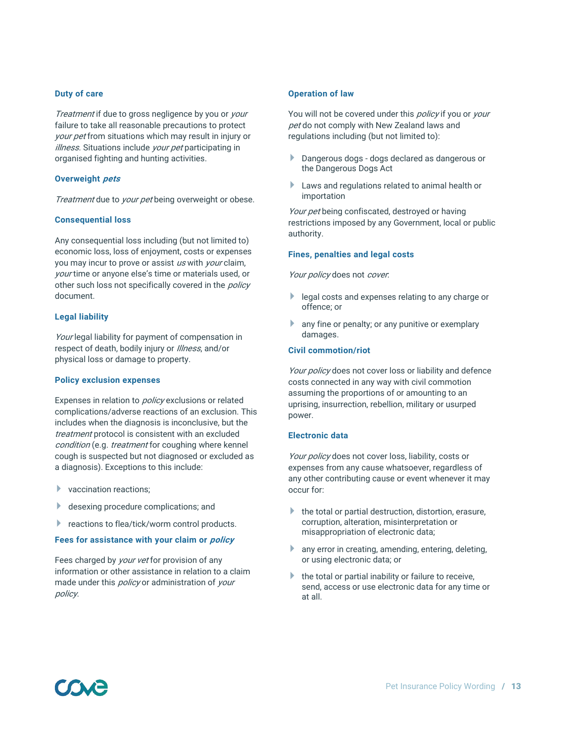#### **Duty of care**

Treatment if due to gross negligence by you or your failure to take all reasonable precautions to protect your pet from situations which may result in injury or illness. Situations include your pet participating in organised fighting and hunting activities.

#### **Overweight pets**

Treatment due to your pet being overweight or obese.

#### **Consequential loss**

Any consequential loss including (but not limited to) economic loss, loss of enjoyment, costs or expenses you may incur to prove or assist us with your claim, your time or anyone else's time or materials used, or other such loss not specifically covered in the *policy* document.

#### **Legal liability**

Your legal liability for payment of compensation in respect of death, bodily injury or *Illness*, and/or physical loss or damage to property.

#### **Policy exclusion expenses**

Expenses in relation to *policy* exclusions or related complications/adverse reactions of an exclusion. This includes when the diagnosis is inconclusive, but the treatment protocol is consistent with an excluded condition (e.g. *treatment* for coughing where kennel cough is suspected but not diagnosed or excluded as a diagnosis). Exceptions to this include:

- vaccination reactions;
- desexing procedure complications; and
- reactions to flea/tick/worm control products.

#### **Fees for assistance with your claim or policy**

Fees charged by *your vet* for provision of any information or other assistance in relation to a claim made under this *policy* or administration of *your* policy.

#### **Operation of law**

You will not be covered under this *policy* if you or your pet do not comply with New Zealand laws and regulations including (but not limited to):

- Dangerous dogs dogs declared as dangerous or the Dangerous Dogs Act
- Laws and regulations related to animal health or importation

Your pet being confiscated, destroyed or having restrictions imposed by any Government, local or public authority.

#### **Fines, penalties and legal costs**

Your policy does not cover.

- legal costs and expenses relating to any charge or offence; or
- any fine or penalty; or any punitive or exemplary damages.

#### **Civil commotion/riot**

Your policy does not cover loss or liability and defence costs connected in any way with civil commotion assuming the proportions of or amounting to an uprising, insurrection, rebellion, military or usurped power.

#### **Electronic data**

Your policy does not cover loss, liability, costs or expenses from any cause whatsoever, regardless of any other contributing cause or event whenever it may occur for:

- $\blacktriangleright$  the total or partial destruction, distortion, erasure, corruption, alteration, misinterpretation or misappropriation of electronic data;
- **any error in creating, amending, entering, deleting,** or using electronic data; or
- the total or partial inability or failure to receive, send, access or use electronic data for any time or at all.

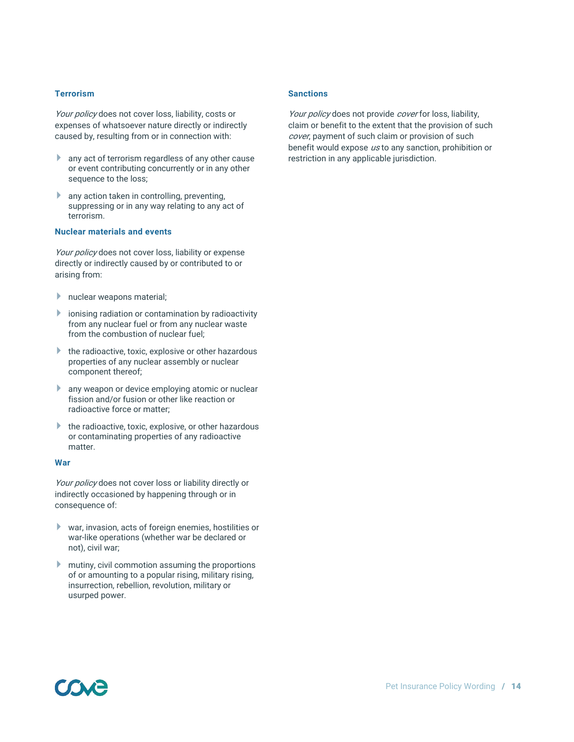#### **Terrorism**

Your policy does not cover loss, liability, costs or expenses of whatsoever nature directly or indirectly caused by, resulting from or in connection with:

- **any act of terrorism regardless of any other cause** or event contributing concurrently or in any other sequence to the loss;
- any action taken in controlling, preventing, suppressing or in any way relating to any act of terrorism.

#### **Nuclear materials and events**

Your policy does not cover loss, liability or expense directly or indirectly caused by or contributed to or arising from:

- **h** nuclear weapons material;
- **i** ionising radiation or contamination by radioactivity from any nuclear fuel or from any nuclear waste from the combustion of nuclear fuel;
- $\blacktriangleright$  the radioactive, toxic, explosive or other hazardous properties of any nuclear assembly or nuclear component thereof;
- **any weapon or device emploving atomic or nuclear** fission and/or fusion or other like reaction or radioactive force or matter;
- $\blacktriangleright$  the radioactive, toxic, explosive, or other hazardous or contaminating properties of any radioactive matter.

#### **War**

Your policy does not cover loss or liability directly or indirectly occasioned by happening through or in consequence of:

- war, invasion, acts of foreign enemies, hostilities or war-like operations (whether war be declared or not), civil war;
- **Mutiny, civil commotion assuming the proportions** of or amounting to a popular rising, military rising, insurrection, rebellion, revolution, military or usurped power.

#### **Sanctions**

Your policy does not provide cover for loss, liability, claim or benefit to the extent that the provision of such cover, payment of such claim or provision of such benefit would expose us to any sanction, prohibition or restriction in any applicable jurisdiction.

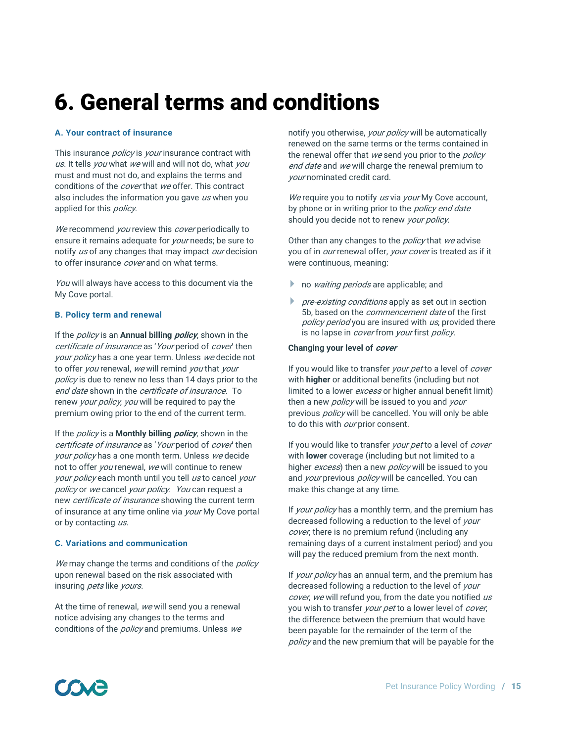# 6. General terms and conditions

#### **A. Your contract of insurance**

This insurance *policy* is *your* insurance contract with us. It tells you what we will and will not do, what you must and must not do, and explains the terms and conditions of the *cover* that we offer. This contract also includes the information you gave  $\mu s$  when you applied for this *policy*.

We recommend you review this cover periodically to ensure it remains adequate for *your* needs; be sure to notify us of any changes that may impact our decision to offer insurance *cover* and on what terms.

You will always have access to this document via the My Cove portal.

#### **B. Policy term and renewal**

If the policy is an **Annual billing policy**, shown in the certificate of insurance as 'Your period of cover' then your policy has a one year term. Unless we decide not to offer you renewal, we will remind you that your policy is due to renew no less than 14 days prior to the end date shown in the certificate of insurance. To renew your policy, you will be required to pay the premium owing prior to the end of the current term.

If the policy is a **Monthly billing policy**, shown in the certificate of insurance as 'Your period of cover' then your policy has a one month term. Unless we decide not to offer you renewal, we will continue to renew your policy each month until you tell us to cancel your policy or we cancel your policy. You can request a new *certificate of insurance* showing the current term of insurance at any time online via *your* My Cove portal or by contacting us.

#### **C. Variations and communication**

We may change the terms and conditions of the *policy* upon renewal based on the risk associated with insuring *pets* like *yours*.

At the time of renewal, we will send you a renewal notice advising any changes to the terms and conditions of the *policy* and premiums. Unless we notify you otherwise, your policy will be automatically renewed on the same terms or the terms contained in the renewal offer that we send you prior to the *policy* end date and we will charge the renewal premium to your nominated credit card.

We require you to notify us via your My Cove account, by phone or in writing prior to the *policy end date* should you decide not to renew your policy.

Other than any changes to the *policy* that we advise you of in *our* renewal offer, *your cover* is treated as if it were continuous, meaning:

- no *waiting periods* are applicable; and
- pre-existing conditions apply as set out in section 5b, based on the *commencement date* of the first policy period you are insured with us, provided there is no lapse in *cover* from your first policy.

#### **Changing your level of cover**

If you would like to transfer *your pet* to a level of *cover* with **higher** or additional benefits (including but not limited to a lower excess or higher annual benefit limit) then a new *policy* will be issued to you and your previous *policy* will be cancelled. You will only be able to do this with *our* prior consent.

If you would like to transfer your pet to a level of cover with **lower** coverage (including but not limited to a higher *excess*) then a new *policy* will be issued to you and your previous policy will be cancelled. You can make this change at any time.

If *your policy* has a monthly term, and the premium has decreased following a reduction to the level of your cover, there is no premium refund (including any remaining days of a current instalment period) and you will pay the reduced premium from the next month.

If your policy has an annual term, and the premium has decreased following a reduction to the level of your cover, we will refund you, from the date you notified us you wish to transfer your pet to a lower level of cover, the difference between the premium that would have been payable for the remainder of the term of the policy and the new premium that will be payable for the

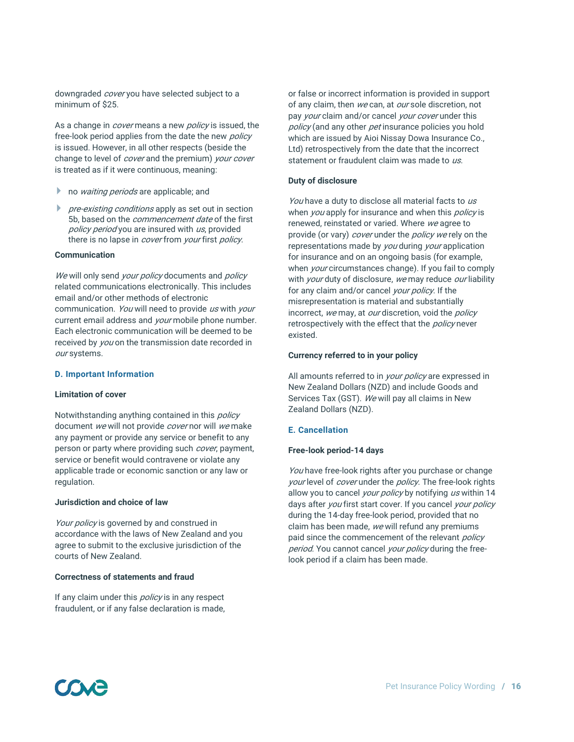downgraded cover you have selected subject to a minimum of \$25.

As a change in *cover* means a new *policy* is issued, the free-look period applies from the date the new *policy* is issued. However, in all other respects (beside the change to level of *cover* and the premium) your cover is treated as if it were continuous, meaning:

- no *waiting periods* are applicable; and
- pre-existing conditions apply as set out in section 5b, based on the *commencement date* of the first policy period you are insured with us, provided there is no lapse in *cover* from *your* first *policy*.

#### **Communication**

We will only send your policy documents and policy related communications electronically. This includes email and/or other methods of electronic communication. You will need to provide us with your current email address and *your* mobile phone number. Each electronic communication will be deemed to be received by you on the transmission date recorded in our systems.

#### **D. Important Information**

#### **Limitation of cover**

Notwithstanding anything contained in this *policy* document we will not provide cover nor will we make any payment or provide any service or benefit to any person or party where providing such cover, payment, service or benefit would contravene or violate any applicable trade or economic sanction or any law or regulation.

#### **Jurisdiction and choice of law**

Your policy is governed by and construed in accordance with the laws of New Zealand and you agree to submit to the exclusive jurisdiction of the courts of New Zealand.

#### **Correctness of statements and fraud**

If any claim under this *policy* is in any respect fraudulent, or if any false declaration is made,

or false or incorrect information is provided in support of any claim, then we can, at our sole discretion, not pay your claim and/or cancel your cover under this policy (and any other pet insurance policies you hold which are issued by Aioi Nissay Dowa Insurance Co., Ltd) retrospectively from the date that the incorrect statement or fraudulent claim was made to us.

#### **Duty of disclosure**

You have a duty to disclose all material facts to us when you apply for insurance and when this policy is renewed, reinstated or varied. Where we agree to provide (or vary) *cover* under the *policy we* rely on the representations made by you during your application for insurance and on an ongoing basis (for example, when your circumstances change). If you fail to comply with *your* duty of disclosure, we may reduce our liability for any claim and/or cancel your policy. If the misrepresentation is material and substantially incorrect, we may, at our discretion, void the policy retrospectively with the effect that the *policy* never existed.

#### **Currency referred to in your policy**

All amounts referred to in *your policy* are expressed in New Zealand Dollars (NZD) and include Goods and Services Tax (GST). We will pay all claims in New Zealand Dollars (NZD).

#### **E. Cancellation**

#### **Free-look period-14 days**

You have free-look rights after you purchase or change your level of *cover* under the *policy*. The free-look rights allow you to cancel your policy by notifying us within 14 days after *you* first start cover. If you cancel *your policy* during the 14-day free-look period, provided that no claim has been made, we will refund any premiums paid since the commencement of the relevant *policy* period. You cannot cancel your policy during the freelook period if a claim has been made.

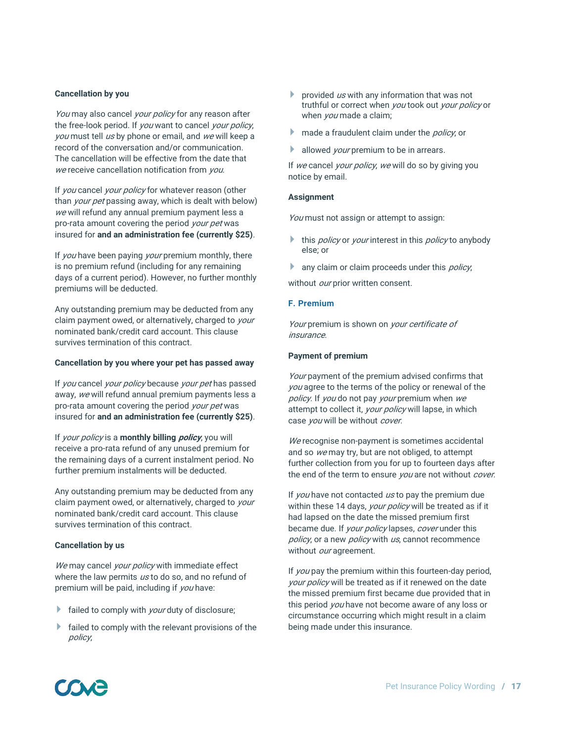#### **Cancellation by you**

You may also cancel your policy for any reason after the free-look period. If you want to cancel your policy, you must tell us by phone or email, and we will keep a record of the conversation and/or communication. The cancellation will be effective from the date that we receive cancellation notification from you.

If you cancel your policy for whatever reason (other than your pet passing away, which is dealt with below) we will refund any annual premium payment less a pro-rata amount covering the period *your pet* was insured for **and an administration fee (currently \$25)**.

If you have been paying your premium monthly, there is no premium refund (including for any remaining days of a current period). However, no further monthly premiums will be deducted.

Any outstanding premium may be deducted from any claim payment owed, or alternatively, charged to your nominated bank/credit card account. This clause survives termination of this contract.

#### **Cancellation by you where your pet has passed away**

If you cancel your policy because your pet has passed away, we will refund annual premium payments less a pro-rata amount covering the period your pet was insured for **and an administration fee (currently \$25)**.

If your policy is a **monthly billing policy**, you will receive a pro-rata refund of any unused premium for the remaining days of a current instalment period. No further premium instalments will be deducted.

Any outstanding premium may be deducted from any claim payment owed, or alternatively, charged to *your* nominated bank/credit card account. This clause survives termination of this contract.

#### **Cancellation by us**

We may cancel your policy with immediate effect where the law permits us to do so, and no refund of premium will be paid, including if you have:

- $\blacktriangleright$  failed to comply with *your* duty of disclosure;
- failed to comply with the relevant provisions of the policy;
- provided  $\mu s$  with any information that was not truthful or correct when you took out your policy or when *you* made a claim;
- made a fraudulent claim under the *policy*, or
- allowed your premium to be in arrears.

If we cancel your policy, we will do so by giving you notice by email.

#### **Assignment**

You must not assign or attempt to assign:

- this *policy* or *your* interest in this *policy* to anybody else; or
- any claim or claim proceeds under this *policy*,

without our prior written consent.

#### **F. Premium**

Your premium is shown on your certificate of insurance.

#### **Payment of premium**

Your payment of the premium advised confirms that you agree to the terms of the policy or renewal of the policy. If you do not pay your premium when we attempt to collect it, your policy will lapse, in which case *you* will be without *cover*.

We recognise non-payment is sometimes accidental and so we may try, but are not obliged, to attempt further collection from you for up to fourteen days after the end of the term to ensure you are not without cover.

If you have not contacted us to pay the premium due within these 14 days, your policy will be treated as if it had lapsed on the date the missed premium first became due. If your policy lapses, cover under this policy, or a new policy with us, cannot recommence without our agreement.

If *you* pay the premium within this fourteen-day period, your policy will be treated as if it renewed on the date the missed premium first became due provided that in this period you have not become aware of any loss or circumstance occurring which might result in a claim being made under this insurance.

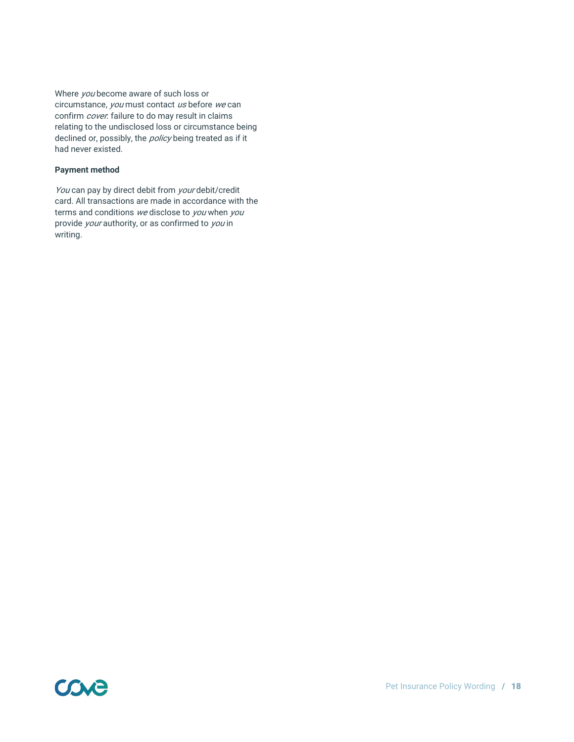Where *you* become aware of such loss or circumstance, you must contact us before we can confirm *cover*: failure to do may result in claims relating to the undisclosed loss or circumstance being declined or, possibly, the *policy* being treated as if it had never existed.

#### **Payment method**

You can pay by direct debit from your debit/credit card. All transactions are made in accordance with the terms and conditions we disclose to you when you provide *your* authority, or as confirmed to *you* in writing.

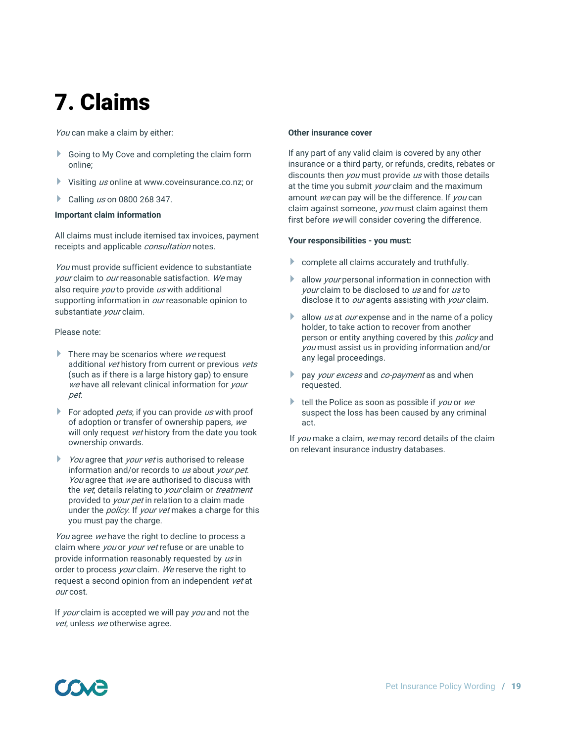# 7. Claims

You can make a claim by either:

- Going to My Cove and completing the claim form online;
- Visiting us online at www.coveinsurance.co.nz; or
- Calling  $\mu s$  on 0800 268 347.

#### **Important claim information**

All claims must include itemised tax invoices, payment receipts and applicable *consultation* notes.

You must provide sufficient evidence to substantiate your claim to our reasonable satisfaction. We may also require *you* to provide us with additional supporting information in *our* reasonable opinion to substantiate *vour* claim.

#### Please note:

- There may be scenarios where  $we$  request additional vet history from current or previous vets (such as if there is a large history gap) to ensure we have all relevant clinical information for your pet.
- For adopted *pets*, if you can provide  $\mu s$  with proof of adoption or transfer of ownership papers, we will only request vet history from the date you took ownership onwards.
- You agree that your vet is authorised to release information and/or records to us about your pet. You agree that we are authorised to discuss with the vet, details relating to your claim or treatment provided to *your pet* in relation to a claim made under the *policy*. If your vet makes a charge for this you must pay the charge.

You agree we have the right to decline to process a claim where *you* or *your vet* refuse or are unable to provide information reasonably requested by us in order to process your claim. We reserve the right to request a second opinion from an independent vet at our cost.

If your claim is accepted we will pay you and not the vet, unless we otherwise agree.

#### **Other insurance cover**

If any part of any valid claim is covered by any other insurance or a third party, or refunds, credits, rebates or discounts then *you* must provide us with those details at the time you submit *your* claim and the maximum amount we can pay will be the difference. If you can claim against someone, *you* must claim against them first before we will consider covering the difference.

#### **Your responsibilities - you must:**

- complete all claims accurately and truthfully.
- allow *your* personal information in connection with your claim to be disclosed to us and for us to disclose it to *our* agents assisting with *your* claim.
- allow us at our expense and in the name of a policy holder, to take action to recover from another person or entity anything covered by this *policy* and you must assist us in providing information and/or any legal proceedings.
- pay your excess and co-payment as and when requested.
- tell the Police as soon as possible if you or we suspect the loss has been caused by any criminal act.

If you make a claim, we may record details of the claim on relevant insurance industry databases.

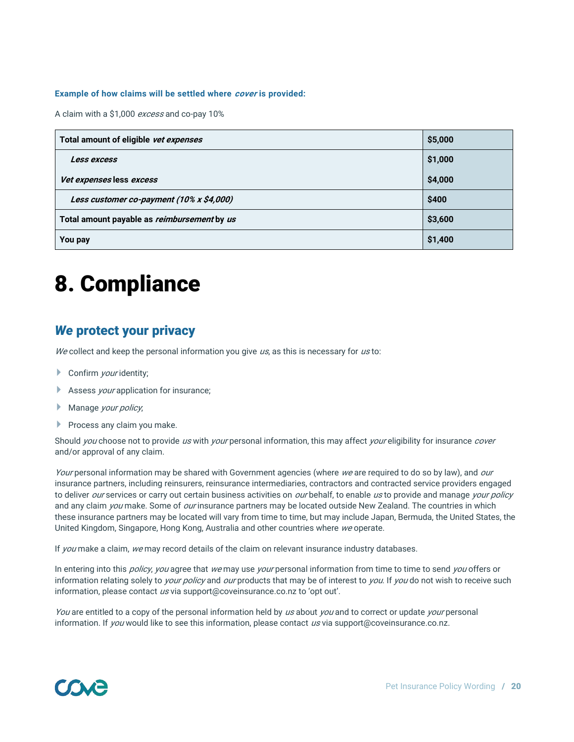#### **Example of how claims will be settled where cover is provided:**

A claim with a \$1,000 excess and co-pay 10%

| Total amount of eligible vet expenses              | \$5,000 |
|----------------------------------------------------|---------|
| Less excess                                        | \$1,000 |
| Vet expenses less excess                           | \$4,000 |
| Less customer co-payment (10% x \$4,000)           | \$400   |
| Total amount payable as <i>reimbursement</i> by us | \$3,600 |
| You pay                                            | \$1,400 |

# 8. Compliance

# *We* protect your privacy

We collect and keep the personal information you give  $\mu s$ , as this is necessary for  $\mu s$  to:

- Confirm *your* identity;
- Assess *your* application for insurance;
- **Manage your policy,**
- $\blacktriangleright$  Process any claim you make.

Should you choose not to provide us with your personal information, this may affect your eligibility for insurance cover and/or approval of any claim.

Your personal information may be shared with Government agencies (where we are required to do so by law), and our insurance partners, including reinsurers, reinsurance intermediaries, contractors and contracted service providers engaged to deliver our services or carry out certain business activities on our behalf, to enable us to provide and manage your policy and any claim you make. Some of our insurance partners may be located outside New Zealand. The countries in which these insurance partners may be located will vary from time to time, but may include Japan, Bermuda, the United States, the United Kingdom, Singapore, Hong Kong, Australia and other countries where we operate.

If you make a claim, we may record details of the claim on relevant insurance industry databases.

In entering into this *policy, you* agree that we may use *your* personal information from time to time to send you offers or information relating solely to *your policy* and *our* products that may be of interest to *you*. If *you* do not wish to receive such information, please contact us via support@coveinsurance.co.nz to 'opt out'.

You are entitled to a copy of the personal information held by us about you and to correct or update your personal information. If you would like to see this information, please contact us via support@coveinsurance.co.nz.

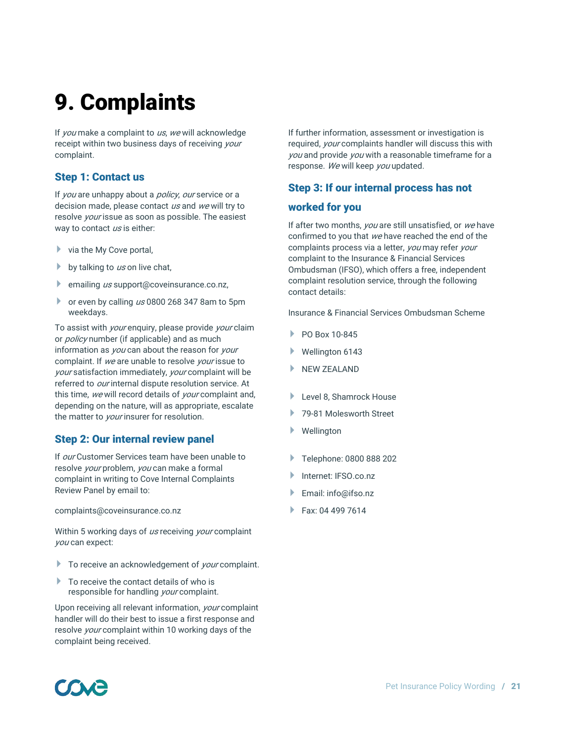# 9. Complaints

If you make a complaint to us, we will acknowledge receipt within two business days of receiving your complaint.

### Step 1: Contact us

If you are unhappy about a policy, our service or a decision made, please contact us and we will try to resolve your issue as soon as possible. The easiest way to contact us is either:

- $\triangleright$  via the My Cove portal,
- by talking to  $\mu s$  on live chat,
- emailing  $\mu s$  support@coveinsurance.co.nz,
- $\bullet$  or even by calling us 0800 268 347 8am to 5pm weekdays.

To assist with *your* enquiry, please provide *your* claim or *policy* number (if applicable) and as much information as you can about the reason for your complaint. If we are unable to resolve your issue to your satisfaction immediately, your complaint will be referred to *our* internal dispute resolution service. At this time, we will record details of your complaint and, depending on the nature, will as appropriate, escalate the matter to your insurer for resolution.

## Step 2: Our internal review panel

If *our* Customer Services team have been unable to resolve *your* problem, *you* can make a formal complaint in writing to Cove Internal Complaints Review Panel by email to:

complaints@coveinsurance.co.nz

Within 5 working days of us receiving your complaint you can expect:

- $\blacktriangleright$  To receive an acknowledgement of *your* complaint.
- ▶ To receive the contact details of who is responsible for handling your complaint.

Upon receiving all relevant information, your complaint handler will do their best to issue a first response and resolve *your* complaint within 10 working days of the complaint being received.

If further information, assessment or investigation is required, your complaints handler will discuss this with you and provide you with a reasonable timeframe for a response. We will keep you updated.

### Step 3: If our internal process has not

#### worked for you

If after two months, you are still unsatisfied, or we have confirmed to you that we have reached the end of the complaints process via a letter, you may refer your complaint to the Insurance & Financial Services Ombudsman (IFSO), which offers a free, independent complaint resolution service, through the following contact details:

Insurance & Financial Services Ombudsman Scheme

- PO Box 10-845
- Wellington 6143
- $\blacktriangleright$  NEW ZEALAND
- Level 8, Shamrock House
- ▶ 79-81 Molesworth Street
- Wellington
- ▶ Telephone: 0800 888 202
- Internet: IFSO.co.nz
- Email: info@ifso.nz
- $Fax: 04 499 7614$

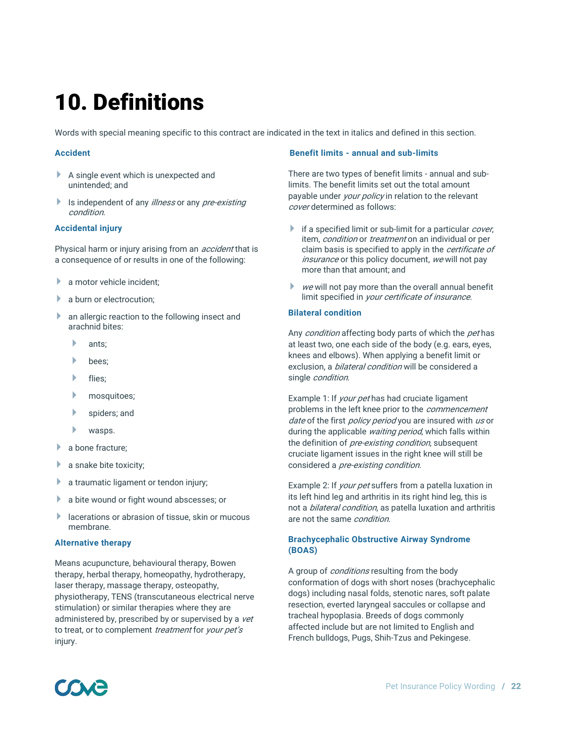# 10. Definitions

Words with special meaning specific to this contract are indicated in the text in italics and defined in this section.

#### **Accident**

- A single event which is unexpected and unintended; and
- Is independent of any *illness* or any *pre-existing* condition.

#### **Accidental injury**

Physical harm or injury arising from an *accident* that is a consequence of or results in one of the following:

- **a** motor vehicle incident:
- **a** burn or electrocution;
- **an allergic reaction to the following insect and** arachnid bites:
	- $\blacktriangleright$  ants:
	- bees;
	- $\blacktriangleright$  flies:
	- **h** mosquitoes;
	- spiders; and
	- wasps.
- a bone fracture;
- a snake bite toxicity;
- **a** traumatic ligament or tendon injury;
- a bite wound or fight wound abscesses; or
- **IDED** lacerations or abrasion of tissue, skin or mucous membrane.

#### **Alternative therapy**

Means acupuncture, behavioural therapy, Bowen therapy, herbal therapy, homeopathy, hydrotherapy, laser therapy, massage therapy, osteopathy, physiotherapy, TENS (transcutaneous electrical nerve stimulation) or similar therapies where they are administered by, prescribed by or supervised by a vet to treat, or to complement treatment for your pet's injury.

#### **Benefit limits - annual and sub-limits**

There are two types of benefit limits - annual and sublimits. The benefit limits set out the total amount payable under *your policy* in relation to the relevant cover determined as follows:

- if a specified limit or sub-limit for a particular *cover*, item, *condition* or *treatment* on an individual or per claim basis is specified to apply in the *certificate of* insurance or this policy document, we will not pay more than that amount; and
- $\triangleright$  we will not pay more than the overall annual benefit limit specified in your certificate of insurance.

#### **Bilateral condition**

Any *condition* affecting body parts of which the *pet* has at least two, one each side of the body (e.g. ears, eyes, knees and elbows). When applying a benefit limit or exclusion, a *bilateral condition* will be considered a single *condition*.

Example 1: If *your pet* has had cruciate ligament problems in the left knee prior to the *commencement* date of the first policy period you are insured with us or during the applicable waiting period, which falls within the definition of *pre-existing condition*, subsequent cruciate ligament issues in the right knee will still be considered a *pre-existing condition*.

Example 2: If *your pet* suffers from a patella luxation in its left hind leg and arthritis in its right hind leg, this is not a *bilateral condition*, as patella luxation and arthritis are not the same *condition*.

#### **Brachycephalic Obstructive Airway Syndrome (BOAS)**

A group of *conditions* resulting from the body conformation of dogs with short noses (brachycephalic dogs) including nasal folds, stenotic nares, soft palate resection, everted laryngeal saccules or collapse and tracheal hypoplasia. Breeds of dogs commonly affected include but are not limited to English and French bulldogs, Pugs, Shih-Tzus and Pekingese.

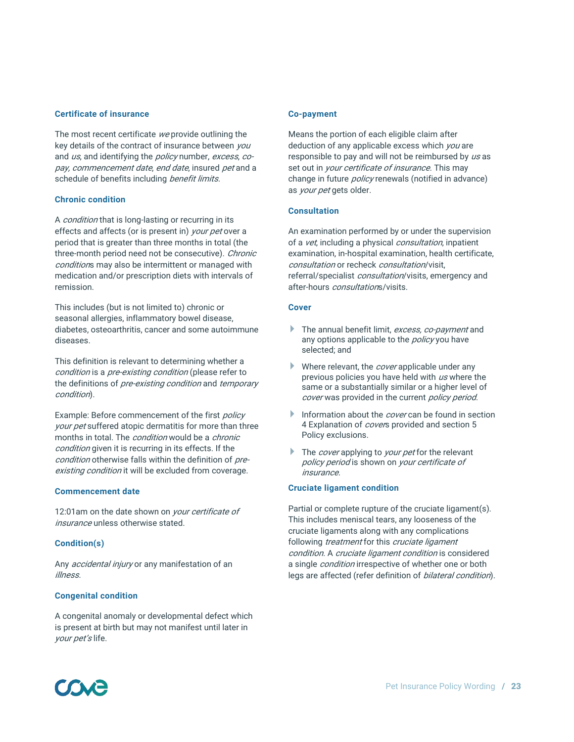#### **Certificate of insurance**

The most recent certificate we provide outlining the key details of the contract of insurance between you and us, and identifying the *policy* number, excess, copay, commencement date, end date, insured pet and a schedule of benefits including benefit limits.

#### **Chronic condition**

A *condition* that is long-lasting or recurring in its effects and affects (or is present in) your pet over a period that is greater than three months in total (the three-month period need not be consecutive). Chronic conditions may also be intermittent or managed with medication and/or prescription diets with intervals of remission.

This includes (but is not limited to) chronic or seasonal allergies, inflammatory bowel disease, diabetes, osteoarthritis, cancer and some autoimmune diseases.

This definition is relevant to determining whether a condition is a pre-existing condition (please refer to the definitions of *pre-existing condition* and *temporary* condition).

Example: Before commencement of the first policy your pet suffered atopic dermatitis for more than three months in total. The *condition* would be a *chronic* condition given it is recurring in its effects. If the condition otherwise falls within the definition of preexisting condition it will be excluded from coverage.

#### **Commencement date**

12:01am on the date shown on *your certificate of* insurance unless otherwise stated.

#### **Condition(s)**

Any *accidental injury* or any manifestation of an illness.

#### **Congenital condition**

A congenital anomaly or developmental defect which is present at birth but may not manifest until later in your pet's life.

#### **Co-payment**

Means the portion of each eligible claim after deduction of any applicable excess which *you* are responsible to pay and will not be reimbursed by us as set out in *your certificate of insurance*. This may change in future *policy* renewals (notified in advance) as *your pet* gets older.

#### **Consultation**

An examination performed by or under the supervision of a *vet*, including a physical *consultation*, inpatient examination, in-hospital examination, health certificate, consultation or recheck consultation/visit, referral/specialist *consultation*/visits, emergency and after-hours *consultation*s/visits.

#### **Cover**

- The annual benefit limit, excess, co-payment and any options applicable to the *policy* you have selected; and
- Where relevant, the *cover* applicable under any previous policies you have held with us where the same or a substantially similar or a higher level of cover was provided in the current policy period.
- Information about the *cover* can be found in section 4 Explanation of *cover*s provided and section 5 Policy exclusions.
- The *cover* applying to *your pet* for the relevant policy period is shown on your certificate of insurance.

#### **Cruciate ligament condition**

Partial or complete rupture of the cruciate ligament(s). This includes meniscal tears, any looseness of the cruciate ligaments along with any complications following *treatment* for this cruciate ligament condition. A cruciate ligament condition is considered a single *condition* irrespective of whether one or both legs are affected (refer definition of *bilateral condition*).

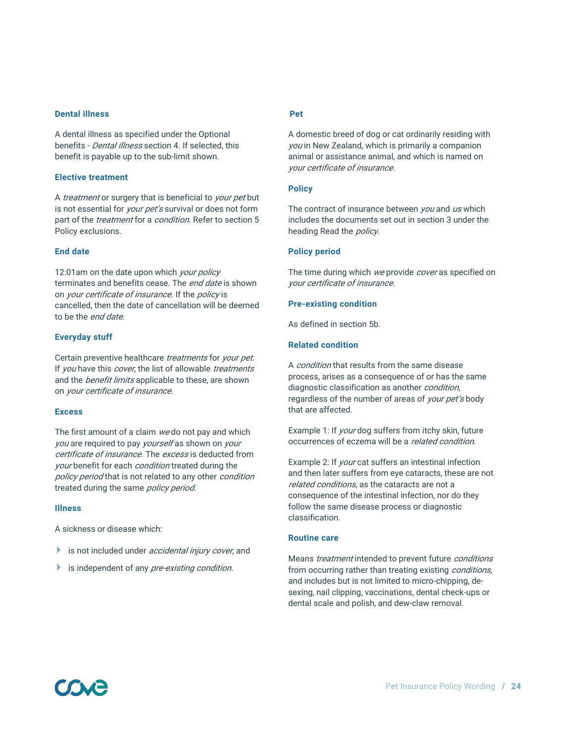#### **Dental illness**

A dental illness as specified under the Optional benefits - *Dental illness* section 4. If selected, this benefit is payable up to the sub-limit shown.

#### **Elective treatment**

A *treatment* or surgery that is beneficial to *your pet* but is not essential for *your pet's* survival or does not form part of the *treatment* for a *condition*. Refer to section 5 Policy exclusions.

#### **End date**

12:01am on the date upon which your policy terminates and benefits cease. The end date is shown on your certificate of insurance. If the policy is cancelled, then the date of cancellation will be deemed to be the end date.

#### **Everyday stuff**

Certain preventive healthcare *treatments* for *your pet*. If you have this cover, the list of allowable treatments and the *benefit limits* applicable to these, are shown on your certificate of insurance.

#### **Excess**

The first amount of a claim we do not pay and which you are required to pay yourself as shown on your certificate of insurance. The excess is deducted from your benefit for each *condition* treated during the policy period that is not related to any other condition treated during the same *policy period*.

#### **Illness**

A sickness or disease which:

- is not included under *accidental injury cover*, and
- is independent of any *pre-existing condition*.

#### **Pet**

A domestic breed of dog or cat ordinarily residing with you in New Zealand, which is primarily a companion animal or assistance animal, and which is named on your certificate of insurance.

#### **Policy**

The contract of insurance between you and us which includes the documents set out in section 3 under the heading Read the *policy*.

#### **Policy period**

The time during which we provide cover as specified on your certificate of insurance.

#### **Pre-existing condition**

As defined in section 5b.

#### **Related condition**

A *condition* that results from the same disease process, arises as a consequence of or has the same diagnostic classification as another *condition*, regardless of the number of areas of your pet's body that are affected.

Example 1: If *your* dog suffers from itchy skin, future occurrences of eczema will be a related condition.

Example 2: If *your* cat suffers an intestinal infection and then later suffers from eye cataracts, these are not related conditions, as the cataracts are not a consequence of the intestinal infection, nor do they follow the same disease process or diagnostic classification.

#### **Routine care**

Means *treatment* intended to prevent future *conditions* from occurring rather than treating existing *conditions*, and includes but is not limited to micro-chipping, desexing, nail clipping, vaccinations, dental check-ups or dental scale and polish, and dew-claw removal.

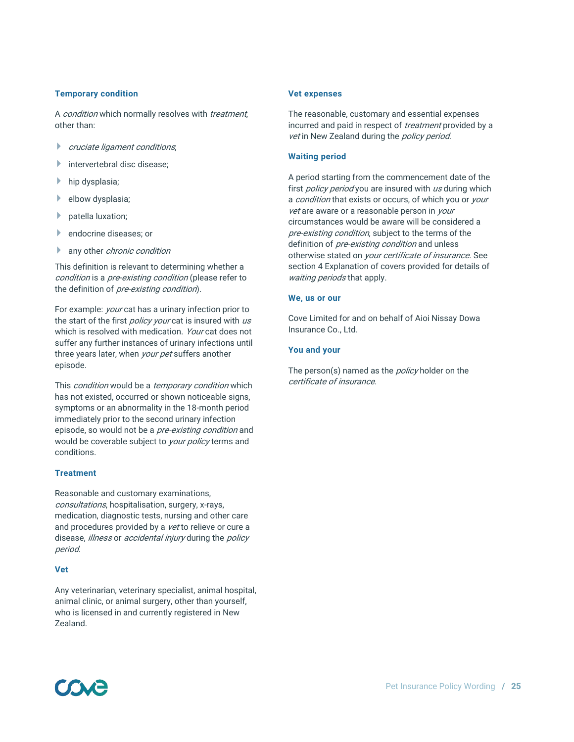#### **Temporary condition**

A *condition* which normally resolves with *treatment*, other than:

- cruciate ligament conditions;
- $\blacktriangleright$  intervertebral disc disease:
- hip dysplasia;
- elbow dysplasia;
- **patella luxation;**
- **Lendocrine diseases; or**
- **any other chronic condition**

This definition is relevant to determining whether a condition is a pre-existing condition (please refer to the definition of pre-existing condition).

For example: *your* cat has a urinary infection prior to the start of the first *policy your* cat is insured with us which is resolved with medication. *Your* cat does not suffer any further instances of urinary infections until three years later, when *your pet* suffers another episode.

This *condition* would be a *temporary condition* which has not existed, occurred or shown noticeable signs, symptoms or an abnormality in the 18-month period immediately prior to the second urinary infection episode, so would not be a *pre-existing condition* and would be coverable subject to your policy terms and conditions.

#### **Treatment**

Reasonable and customary examinations, consultations, hospitalisation, surgery, x-rays, medication, diagnostic tests, nursing and other care and procedures provided by a vet to relieve or cure a disease, *illness* or *accidental injury* during the *policy* period.

#### **Vet**

Any veterinarian, veterinary specialist, animal hospital, animal clinic, or animal surgery, other than yourself, who is licensed in and currently registered in New Zealand.

#### **Vet expenses**

The reasonable, customary and essential expenses incurred and paid in respect of *treatment* provided by a vet in New Zealand during the policy period.

#### **Waiting period**

A period starting from the commencement date of the first *policy period* you are insured with us during which a condition that exists or occurs, of which you or your vet are aware or a reasonable person in your circumstances would be aware will be considered a pre-existing condition, subject to the terms of the definition of *pre-existing condition* and unless otherwise stated on *your certificate of insurance*. See section 4 Explanation of covers provided for details of waiting periods that apply.

#### **We, us or our**

Cove Limited for and on behalf of Aioi Nissay Dowa Insurance Co., Ltd.

#### **You and your**

The person(s) named as the *policy* holder on the certificate of insurance.

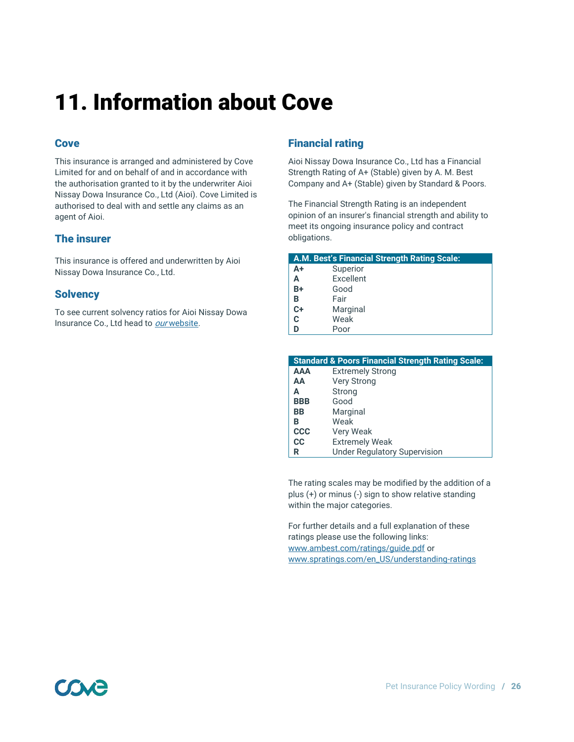# 11. Information about Cove

# **Cove**

This insurance is arranged and administered by Cove Limited for and on behalf of and in accordance with the authorisation granted to it by the underwriter Aioi Nissay Dowa Insurance Co., Ltd (Aioi). Cove Limited is authorised to deal with and settle any claims as an agent of Aioi.

## The insurer

This insurance is offered and underwritten by Aioi Nissay Dowa Insurance Co., Ltd.

### **Solvency**

To see current solvency ratios for Aioi Nissay Dowa Insurance Co., Ltd head to our [website.](https://www.coveinsurance.co.nz/solvency/)

# Financial rating

Aioi Nissay Dowa Insurance Co., Ltd has a Financial Strength Rating of A+ (Stable) given by A. M. Best Company and A+ (Stable) given by Standard & Poors.

The Financial Strength Rating is an independent opinion of an insurer's financial strength and ability to meet its ongoing insurance policy and contract obligations.

|    | A.M. Best's Financial Strength Rating Scale: |
|----|----------------------------------------------|
| A+ | Superior                                     |
| А  | Excellent                                    |
| B+ | Good                                         |
| B  | Fair                                         |
| C+ | Marginal                                     |
| C  | Weak                                         |
|    | Poor                                         |

|            | <b>Standard &amp; Poors Financial Strength Rating Scale:</b> |
|------------|--------------------------------------------------------------|
| <b>AAA</b> | <b>Extremely Strong</b>                                      |
| AA         | <b>Very Strong</b>                                           |
| А          | Strong                                                       |
| <b>BBB</b> | Good                                                         |
| BB         | Marginal                                                     |
| В          | Weak                                                         |
| <b>CCC</b> | Very Weak                                                    |
| <b>CC</b>  | <b>Extremely Weak</b>                                        |
| R          | <b>Under Regulatory Supervision</b>                          |

The rating scales may be modified by the addition of a plus (+) or minus (-) sign to show relative standing within the major categories.

For further details and a full explanation of these ratings please use the following links: [www.ambest.com/ratings/guide.pdf](http://www.ambest.com/ratings/guide.pdf) or [www.spratings.com/en\\_US/understanding-ratings](http://www.spratings.com/en_US/understanding-ratings)

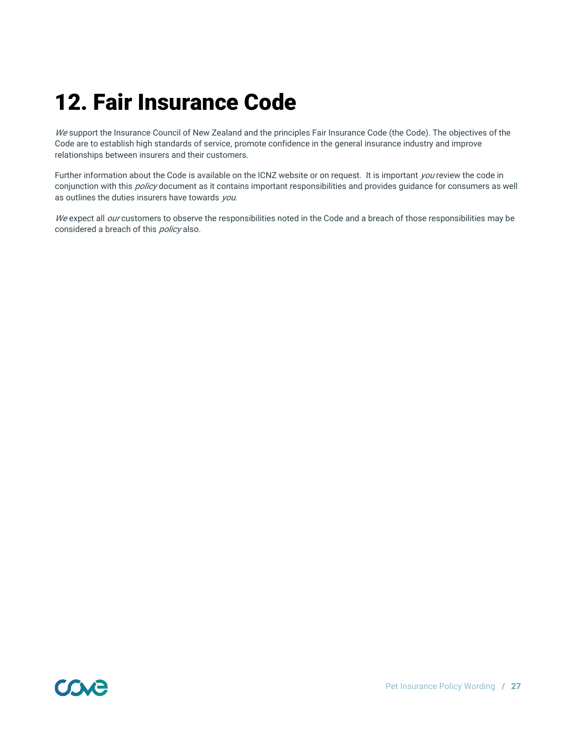# 12. Fair Insurance Code

We support the Insurance Council of New Zealand and the principles Fair Insurance Code (the Code). The objectives of the Code are to establish high standards of service, promote confidence in the general insurance industry and improve relationships between insurers and their customers.

Further information about the Code is available on the ICNZ website or on request. It is important you review the code in conjunction with this *policy* document as it contains important responsibilities and provides guidance for consumers as well as outlines the duties insurers have towards you.

We expect all our customers to observe the responsibilities noted in the Code and a breach of those responsibilities may be considered a breach of this *policy* also.